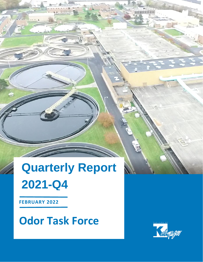# **Quarterly Report 2021-Q4**

**FEBRUARY 2022**

**Odor Task Force**

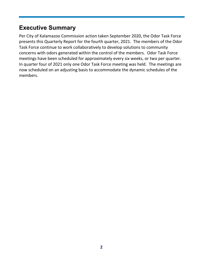## **Executive Summary**

Per City of Kalamazoo Commission action taken September 2020, the Odor Task Force presents this Quarterly Report for the fourth quarter, 2021. The members of the Odor Task Force continue to work collaboratively to develop solutions to community concerns with odors generated within the control of the members. Odor Task Force meetings have been scheduled for approximately every six weeks, or two per quarter. In quarter four of 2021 only one Odor Task Force meeting was held. The meetings are now scheduled on an adjusting basis to accommodate the dynamic schedules of the members.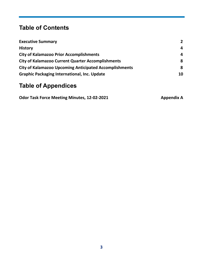## **Table of Contents**

| <b>Executive Summary</b>                                      | $\mathbf{2}$ |
|---------------------------------------------------------------|--------------|
| <b>History</b>                                                | 4            |
| <b>City of Kalamazoo Prior Accomplishments</b>                | 4            |
| <b>City of Kalamazoo Current Quarter Accomplishments</b>      | 8            |
| <b>City of Kalamazoo Upcoming Anticipated Accomplishments</b> | 8            |
| <b>Graphic Packaging International, Inc. Update</b>           | 10           |

## **Table of Appendices**

| <b>Odor Task Force Meeting Minutes, 12-02-2021</b> | <b>Appendix A</b> |
|----------------------------------------------------|-------------------|
|----------------------------------------------------|-------------------|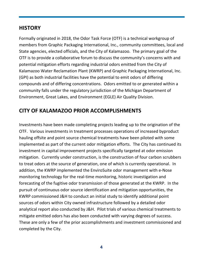#### **HISTORY**

Formally originated in 2018, the Odor Task Force (OTF) is a technical workgroup of members from Graphic Packaging International, Inc., community committees, local and State agencies, elected officials, and the City of Kalamazoo. The primary goal of the OTF is to provide a collaborative forum to discuss the community's concerns with and potential mitigation efforts regarding industrial odors emitted from the City of Kalamazoo Water Reclamation Plant (KWRP) and Graphic Packaging International, Inc. (GPI) as both industrial facilities have the potential to emit odors of differing compounds and of differing concentrations. Odors emitted to or generated within a community falls under the regulatory jurisdiction of the Michigan Department of Environment, Great Lakes, and Environment (EGLE) Air Quality Division.

#### **CITY OF KALAMAZOO PRIOR ACCOMPLISHMENTS**

Investments have been made completing projects leading up to the origination of the OTF. Various investments in treatment processes operations of increased byproduct hauling offsite and point source chemical treatments have been piloted with some implemented as part of the current odor mitigation efforts. The City has continued its investment in capital improvement projects specifically targeted at odor emission mitigation. Currently under construction, is the construction of four carbon scrubbers to treat odors at the source of generation, one of which is currently operational. In addition, the KWRP implemented the EnviroSuite odor management with e-Nose monitoring technology for the real-time monitoring, historic investigation and forecasting of the fugitive odor transmission of those generated at the KWRP. In the pursuit of continuous odor source identification and mitigation opportunities, the KWRP commissioned J&H to conduct an initial study to identify additional point sources of odors within City owned infrastructure followed by a detailed odor analytical report also conducted by J&H. Pilot trials of various chemical treatments to mitigate emitted odors has also been conducted with varying degrees of success. These are only a few of the prior accomplishments and investment commissioned and completed by the City.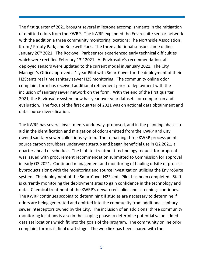The first quarter of 2021 brought several milestone accomplishments in the mitigation of emitted odors from the KWRP. The KWRP expanded the Envirosuite sensor network with the addition a three community monitoring locations; The Northside Association; Krom / Prouty Park; and Rockwell Park. The three additional sensors came online January 20<sup>th</sup> 2021. The Rockwell Park sensor experienced early technical difficulties which were rectified February 13<sup>th</sup> 2021. At Envirosuite's recommendation, all deployed sensors were updated to the current model in January 2021. The City Manager's Office approved a 1-year Pilot with SmartCover for the deployment of their H2Scents real time sanitary sewer H2S monitoring. The community online odor complaint form has received additional refinement prior to deployment with the inclusion of sanitary sewer network on the form. With the end of the first quarter 2021, the Envirosuite system now has year over year datasets for comparison and evaluation. The focus of the first quarter of 2021 was on actional data obtainment and data source diversification.

The KWRP has several investments underway, proposed, and in the planning phases to aid in the identification and mitigation of odors emitted from the KWRP and City owned sanitary sewer collections system. The remaining three KWRP process point source carbon scrubbers underwent startup and began beneficial use in Q2 2021, a quarter ahead of schedule. The biofilter treatment technology request for proposal was issued with procurement recommendation submitted to Commission for approval in early Q3 2021. Continued management and monitoring of hauling offsite of process byproducts along with the monitoring and source investigation utilizing the EnviroSuite system. The deployment of the SmartCover H2Scents Pilot has been completed. Staff is currently monitoring the deployment sites to gain confidence in the technology and data. Chemical treatment of the KWRP's dewatered solids and screenings continues. The KWRP continues scoping to determining if studies are necessary to determine if odors are being generated and emitted into the community from additional sanitary sewer interceptors owned by the City. The inclusion of an additional three community monitoring locations is also in the scoping phase to determine potential value added data set locations which fit into the goals of the program. The community online odor complaint form is in final draft stage. The web link has been shared with the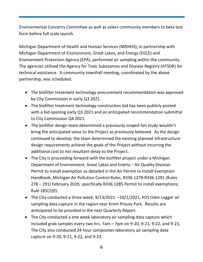Environmental Concerns Committee as well as select community members to beta test form before full scale launch.

Michigan Department of Health and Human Services (MDHHS), in partnership with Michigan Department of Environment, Great Lakes, and Energy (EGLE) and Environment Protection Agency (EPA), performed air sampling within the community. The agencies utilized the Agency for Toxic Substances and Disease Registry (ATSDR) for technical assistance. A community townhall meeting, coordinated by the above partnership, was scheduled.

- The biofilter treatment technology procurement recommendation was approved by City Commission in early Q3 2021.
- The biofilter treatment technology construction bid has been publicly posted with a bid opening early Q3 2021 and an anticipated recommendation submittal to City Commission Q4 2021.
- The biofilter design team determined a previously scoped fan study wouldn't bring the anticipated value to the Project as previously believed. As the design continued to develop, the team determined the existing planned infrastructure design requirements achieve the goals of the Project without incurring the additional cost to nor resultant delay to the Project.
- The City is proceeding forward with the biofilter project under a Michigan Department of Environment, Great Lakes and Enerty – Air Quality Division Permit to Install exemption as detailed in the Air Permit to Install Exemption Handbook, Michigan Air Pollution Control Rules, R336.1278-R336.1291 (Rules 278 – 291) February 2020, specifically R336.1285 Permit to install exemptions; Rule 285(2)(f).
- The City conducted a three week, 9/13/2021 10/1/2021, H2S Odor Logger air sampling data capture in the region near Krom Prouty Park. Results are anticipated to be provided in the next Quarterly Report.
- The City conducted a one week laboratory air sampling data capture which included grab samples every two hrs, 7am – 7pm on 9-20, 9-21, 9-22, and 9-23, The City also conducted 24 hour composites laboratory air sampling data capture on 9-20, 9-21, 9-22, and 9-23.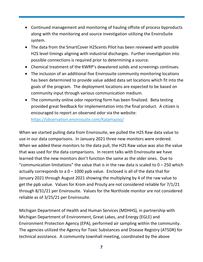- Continued management and monitoring of hauling offsite of process byproducts along with the monitoring and source investigation utilizing the EnviroSuite system.
- The data from the SmartCover H2Scents Pilot has been reviewed with possible H2S level timings aligning with industrial discharges. Further investigation into possible connections is required prior to determining a source.
- Chemical treatment of the KWRP's dewatered solids and screenings continues.
- The inclusion of an additional five Envirosuite community monitoring locations has been determined to provide value added data set locations which fit into the goals of the program. The deployment locations are expected to be based on community input through various communication medium.
- The community online odor reporting form has been finalized. Beta testing provided great feedback for implementation into the final product. A citizen is encouraged to report an observed odor via the website: <https://observation.envirosuite.com/Kalamazoo/>

When we started pulling data from Envirosuite, we pulled the H2S Raw data value to use in our data comparisons. In January 2021 three new monitors were ordered. When we added these monitors to the data pull, the H2S Raw value was also the value that was used for the data comparisons. In recent talks with Envirosuite we have learned that the new monitors don't function the same as the older ones. Due to "communication limitations" the value that is in the raw data is scaled to  $0 - 250$  which actually corresponds to a  $0 - 1000$  ppb value. Enclosed is all of the data that for January 2021 through August 2021 showing the multiplying by 4 of the raw value to get the ppb value. Values for Krom and Prouty are not considered reliable for 7/1/21 through 8/31/21 per Envirosuite. Values for the Northside monitor are not considered reliable as of 3/25/21 per Envirosuite.

Michigan Department of Health and Human Services (MDHHS), in partnership with Michigan Department of Environment, Great Lakes, and Energy (EGLE) and Environment Protection Agency (EPA), performed air sampling within the community. The agencies utilized the Agency for Toxic Substances and Disease Registry (ATSDR) for technical assistance. A community townhall meeting, coordinated by the above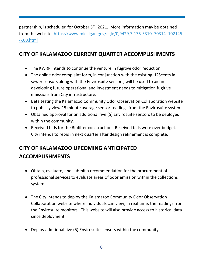partnership, is scheduled for October  $5<sup>th</sup>$ , 2021. More information may be obtained from the website: [https://www.michigan.gov/egle/0,9429,7-135-3310\\_70314\\_102145-](https://www.michigan.gov/egle/0,9429,7-135-3310_70314_102145---,00.html) [--,00.html](https://www.michigan.gov/egle/0,9429,7-135-3310_70314_102145---,00.html)

### **CITY OF KALAMAZOO CURRENT QUARTER ACCOMPLISHMENTS**

- The KWRP intends to continue the venture in fugitive odor reduction.
- The online odor complaint form, in conjunction with the existing H2Scents in sewer sensors along with the Envirosuite sensors, will be used to aid in developing future operational and investment needs to mitigation fugitive emissions from City infrastructure.
- Beta testing the Kalamazoo Community Odor Observation Collaboration website to publicly view 15 minute average sensor readings from the Envirosuite system.
- Obtained approval for an additional five (5) Envirosuite sensors to be deployed within the community.
- Received bids for the Biofilter construction. Received bids were over budget. City intends to rebid in next quarter after design refinement is complete.

## **CITY OF KALAMAZOO UPCOMING ANTICIPATED ACCOMPLISHMENTS**

- Obtain, evaluate, and submit a recommendation for the procurement of professional services to evaluate areas of odor emission within the collections system.
- The City intends to deploy the Kalamazoo Community Odor Observation Collaboration website where individuals can view, in real time, the readings from the Envirosuite monitors. This website will also provide access to historical data since deployment.
- Deploy additional five (5) Envirosuite sensors within the community.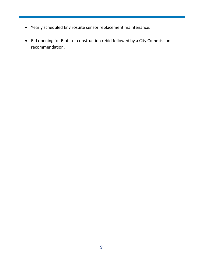- Yearly scheduled Envirosuite sensor replacement maintenance.
- Bid opening for Biofilter construction rebid followed by a City Commission recommendation.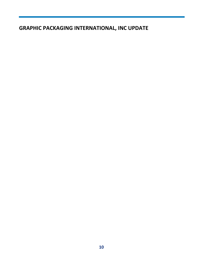### **GRAPHIC PACKAGING INTERNATIONAL, INC UPDATE**